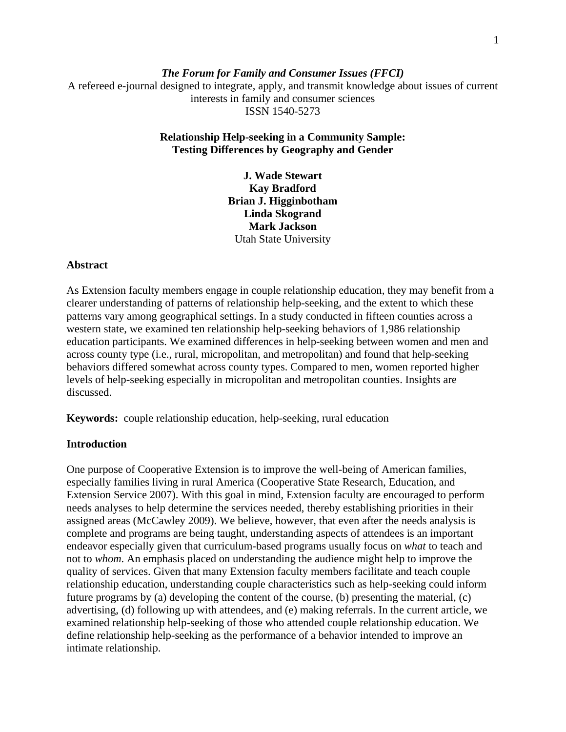# *The Forum for Family and Consumer Issues (FFCI)*  A refereed e-journal designed to integrate, apply, and transmit knowledge about issues of current interests in family and consumer sciences ISSN 1540-5273

## **Relationship Help-seeking in a Community Sample: Testing Differences by Geography and Gender**

**J. Wade Stewart Kay Bradford Brian J. Higginbotham Linda Skogrand Mark Jackson** Utah State University

### **Abstract**

As Extension faculty members engage in couple relationship education, they may benefit from a clearer understanding of patterns of relationship help-seeking, and the extent to which these patterns vary among geographical settings. In a study conducted in fifteen counties across a western state, we examined ten relationship help-seeking behaviors of 1,986 relationship education participants. We examined differences in help-seeking between women and men and across county type (i.e., rural, micropolitan, and metropolitan) and found that help-seeking behaviors differed somewhat across county types. Compared to men, women reported higher levels of help-seeking especially in micropolitan and metropolitan counties. Insights are discussed.

**Keywords:** couple relationship education, help-seeking, rural education

## **Introduction**

One purpose of Cooperative Extension is to improve the well-being of American families, especially families living in rural America (Cooperative State Research, Education, and Extension Service 2007). With this goal in mind, Extension faculty are encouraged to perform needs analyses to help determine the services needed, thereby establishing priorities in their assigned areas (McCawley 2009). We believe, however, that even after the needs analysis is complete and programs are being taught, understanding aspects of attendees is an important endeavor especially given that curriculum-based programs usually focus on *what* to teach and not to *whom*. An emphasis placed on understanding the audience might help to improve the quality of services. Given that many Extension faculty members facilitate and teach couple relationship education, understanding couple characteristics such as help-seeking could inform future programs by (a) developing the content of the course, (b) presenting the material, (c) advertising, (d) following up with attendees, and (e) making referrals. In the current article, we examined relationship help-seeking of those who attended couple relationship education. We define relationship help-seeking as the performance of a behavior intended to improve an intimate relationship.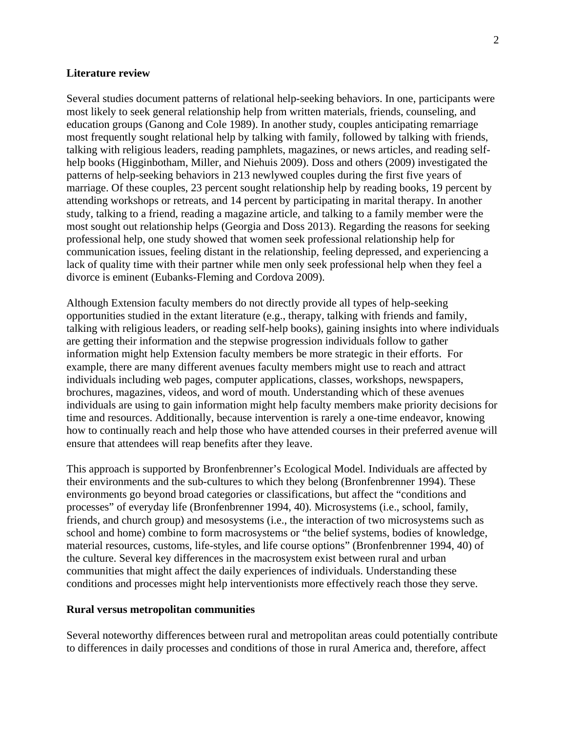### **Literature review**

Several studies document patterns of relational help-seeking behaviors. In one, participants were most likely to seek general relationship help from written materials, friends, counseling, and education groups (Ganong and Cole 1989). In another study, couples anticipating remarriage most frequently sought relational help by talking with family, followed by talking with friends, talking with religious leaders, reading pamphlets, magazines, or news articles, and reading selfhelp books (Higginbotham, Miller, and Niehuis 2009). Doss and others (2009) investigated the patterns of help-seeking behaviors in 213 newlywed couples during the first five years of marriage. Of these couples, 23 percent sought relationship help by reading books, 19 percent by attending workshops or retreats, and 14 percent by participating in marital therapy. In another study, talking to a friend, reading a magazine article, and talking to a family member were the most sought out relationship helps (Georgia and Doss 2013). Regarding the reasons for seeking professional help, one study showed that women seek professional relationship help for communication issues, feeling distant in the relationship, feeling depressed, and experiencing a lack of quality time with their partner while men only seek professional help when they feel a divorce is eminent (Eubanks-Fleming and Cordova 2009).

Although Extension faculty members do not directly provide all types of help-seeking opportunities studied in the extant literature (e.g., therapy, talking with friends and family, talking with religious leaders, or reading self-help books), gaining insights into where individuals are getting their information and the stepwise progression individuals follow to gather information might help Extension faculty members be more strategic in their efforts. For example, there are many different avenues faculty members might use to reach and attract individuals including web pages, computer applications, classes, workshops, newspapers, brochures, magazines, videos, and word of mouth. Understanding which of these avenues individuals are using to gain information might help faculty members make priority decisions for time and resources. Additionally, because intervention is rarely a one-time endeavor, knowing how to continually reach and help those who have attended courses in their preferred avenue will ensure that attendees will reap benefits after they leave.

This approach is supported by Bronfenbrenner's Ecological Model. Individuals are affected by their environments and the sub-cultures to which they belong (Bronfenbrenner 1994). These environments go beyond broad categories or classifications, but affect the "conditions and processes" of everyday life (Bronfenbrenner 1994, 40). Microsystems (i.e., school, family, friends, and church group) and mesosystems (i.e., the interaction of two microsystems such as school and home) combine to form macrosystems or "the belief systems, bodies of knowledge, material resources, customs, life-styles, and life course options" (Bronfenbrenner 1994, 40) of the culture. Several key differences in the macrosystem exist between rural and urban communities that might affect the daily experiences of individuals. Understanding these conditions and processes might help interventionists more effectively reach those they serve.

#### **Rural versus metropolitan communities**

Several noteworthy differences between rural and metropolitan areas could potentially contribute to differences in daily processes and conditions of those in rural America and, therefore, affect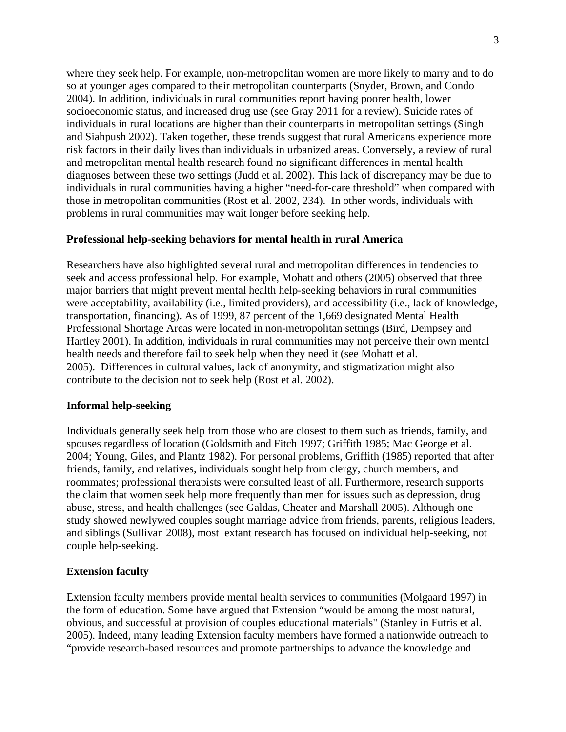where they seek help. For example, non-metropolitan women are more likely to marry and to do so at younger ages compared to their metropolitan counterparts (Snyder, Brown, and Condo 2004). In addition, individuals in rural communities report having poorer health, lower socioeconomic status, and increased drug use (see Gray 2011 for a review). Suicide rates of individuals in rural locations are higher than their counterparts in metropolitan settings (Singh and Siahpush 2002). Taken together, these trends suggest that rural Americans experience more risk factors in their daily lives than individuals in urbanized areas. Conversely, a review of rural and metropolitan mental health research found no significant differences in mental health diagnoses between these two settings (Judd et al. 2002). This lack of discrepancy may be due to individuals in rural communities having a higher "need-for-care threshold" when compared with those in metropolitan communities (Rost et al. 2002, 234). In other words, individuals with problems in rural communities may wait longer before seeking help.

### **Professional help-seeking behaviors for mental health in rural America**

Researchers have also highlighted several rural and metropolitan differences in tendencies to seek and access professional help. For example, Mohatt and others (2005) observed that three major barriers that might prevent mental health help-seeking behaviors in rural communities were acceptability, availability (i.e., limited providers), and accessibility (i.e., lack of knowledge, transportation, financing). As of 1999, 87 percent of the 1,669 designated Mental Health Professional Shortage Areas were located in non-metropolitan settings (Bird, Dempsey and Hartley 2001). In addition, individuals in rural communities may not perceive their own mental health needs and therefore fail to seek help when they need it (see Mohatt et al. 2005). Differences in cultural values, lack of anonymity, and stigmatization might also contribute to the decision not to seek help (Rost et al. 2002).

#### **Informal help-seeking**

Individuals generally seek help from those who are closest to them such as friends, family, and spouses regardless of location (Goldsmith and Fitch 1997; Griffith 1985; Mac George et al. 2004; Young, Giles, and Plantz 1982). For personal problems, Griffith (1985) reported that after friends, family, and relatives, individuals sought help from clergy, church members, and roommates; professional therapists were consulted least of all. Furthermore, research supports the claim that women seek help more frequently than men for issues such as depression, drug abuse, stress, and health challenges (see Galdas, Cheater and Marshall 2005). Although one study showed newlywed couples sought marriage advice from friends, parents, religious leaders, and siblings (Sullivan 2008), most extant research has focused on individual help-seeking, not couple help-seeking.

#### **Extension faculty**

Extension faculty members provide mental health services to communities (Molgaard 1997) in the form of education. Some have argued that Extension "would be among the most natural, obvious, and successful at provision of couples educational materials" (Stanley in Futris et al. 2005). Indeed, many leading Extension faculty members have formed a nationwide outreach to "provide research-based resources and promote partnerships to advance the knowledge and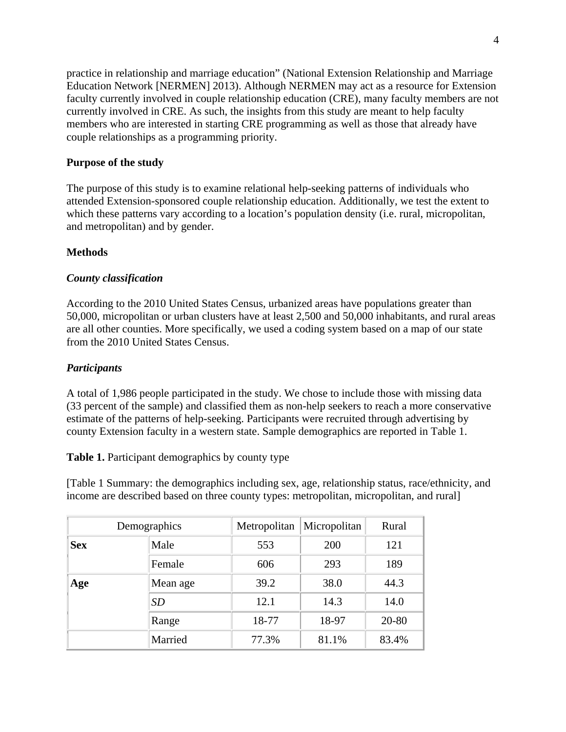practice in relationship and marriage education" (National Extension Relationship and Marriage Education Network [NERMEN] 2013). Although NERMEN may act as a resource for Extension faculty currently involved in couple relationship education (CRE), many faculty members are not currently involved in CRE. As such, the insights from this study are meant to help faculty members who are interested in starting CRE programming as well as those that already have couple relationships as a programming priority.

## **Purpose of the study**

The purpose of this study is to examine relational help-seeking patterns of individuals who attended Extension-sponsored couple relationship education. Additionally, we test the extent to which these patterns vary according to a location's population density (i.e. rural, micropolitan, and metropolitan) and by gender.

# **Methods**

# *County classification*

According to the 2010 United States Census, urbanized areas have populations greater than 50,000, micropolitan or urban clusters have at least 2,500 and 50,000 inhabitants, and rural areas are all other counties. More specifically, we used a coding system based on a map of our state from the 2010 United States Census.

# *Participants*

A total of 1,986 people participated in the study. We chose to include those with missing data (33 percent of the sample) and classified them as non-help seekers to reach a more conservative estimate of the patterns of help-seeking. Participants were recruited through advertising by county Extension faculty in a western state. Sample demographics are reported in Table 1.

**Table 1.** Participant demographics by county type

[Table 1 Summary: the demographics including sex, age, relationship status, race/ethnicity, and income are described based on three county types: metropolitan, micropolitan, and rural]

| Demographics |           | Metropolitan | Micropolitan | Rural |
|--------------|-----------|--------------|--------------|-------|
| <b>Sex</b>   | Male      | 553          | <b>200</b>   | 121   |
|              | Female    | 606          | 293          | 189   |
| Age          | Mean age  | 39.2         | 38.0         | 44.3  |
|              | <b>SD</b> | 12.1         | 14.3         | 14.0  |
|              | Range     | 18-77        | 18-97        | 20-80 |
|              | Married   | 77.3%        | 81.1%        | 83.4% |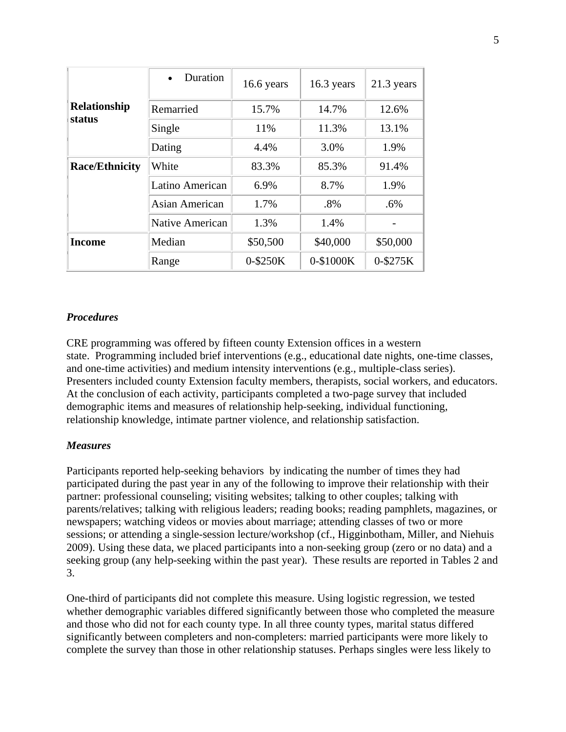| <b>Relationship</b><br>status | Duration              | $16.6$ years | $16.3$ years | 21.3 years |
|-------------------------------|-----------------------|--------------|--------------|------------|
|                               | Remarried             | 15.7%        | 14.7%        | 12.6%      |
|                               | Single                | 11%          | 11.3%        | 13.1%      |
|                               | Dating                | 4.4%         | 3.0%         | 1.9%       |
| <b>Race/Ethnicity</b>         | White                 | 83.3%        | 85.3%        | 91.4%      |
|                               | Latino American       | 6.9%         | 8.7%         | 1.9%       |
|                               | <b>Asian American</b> | 1.7%         | $.8\%$       | .6%        |
|                               | Native American       | 1.3%         | 1.4%         |            |
| <b>Income</b>                 | Median                | \$50,500     | \$40,000     | \$50,000   |
|                               | Range                 | 0-\$250K     | 0-\$1000K    | 0-\$275K   |

## *Procedures*

CRE programming was offered by fifteen county Extension offices in a western state. Programming included brief interventions (e.g., educational date nights, one-time classes, and one-time activities) and medium intensity interventions (e.g., multiple-class series). Presenters included county Extension faculty members, therapists, social workers, and educators. At the conclusion of each activity, participants completed a two-page survey that included demographic items and measures of relationship help-seeking, individual functioning, relationship knowledge, intimate partner violence, and relationship satisfaction.

## *Measures*

Participants reported help-seeking behaviors by indicating the number of times they had participated during the past year in any of the following to improve their relationship with their partner: professional counseling; visiting websites; talking to other couples; talking with parents/relatives; talking with religious leaders; reading books; reading pamphlets, magazines, or newspapers; watching videos or movies about marriage; attending classes of two or more sessions; or attending a single-session lecture/workshop (cf., Higginbotham, Miller, and Niehuis 2009). Using these data, we placed participants into a non-seeking group (zero or no data) and a seeking group (any help-seeking within the past year). These results are reported in Tables 2 and 3.

One-third of participants did not complete this measure. Using logistic regression, we tested whether demographic variables differed significantly between those who completed the measure and those who did not for each county type. In all three county types, marital status differed significantly between completers and non-completers: married participants were more likely to complete the survey than those in other relationship statuses. Perhaps singles were less likely to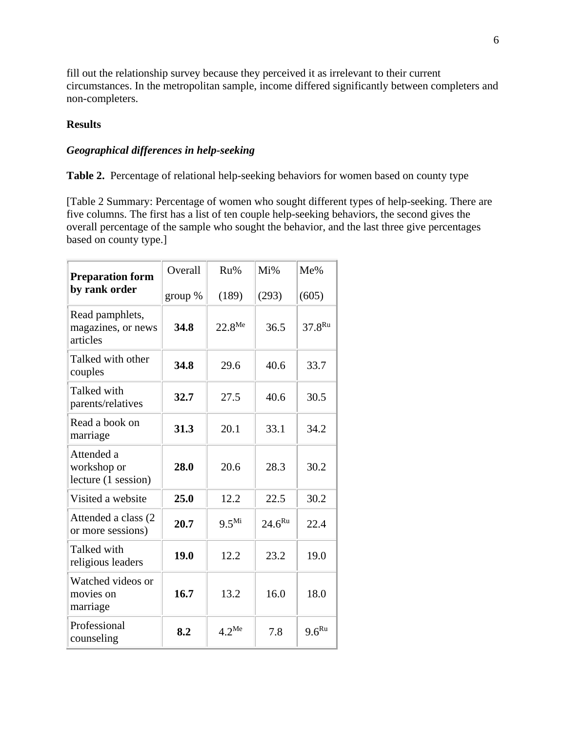fill out the relationship survey because they perceived it as irrelevant to their current circumstances. In the metropolitan sample, income differed significantly between completers and non-completers.

# **Results**

# *Geographical differences in help-seeking*

**Table 2.** Percentage of relational help-seeking behaviors for women based on county type

[Table 2 Summary: Percentage of women who sought different types of help-seeking. There are five columns. The first has a list of ten couple help-seeking behaviors, the second gives the overall percentage of the sample who sought the behavior, and the last three give percentages based on county type.]

| <b>Preparation form</b>                           | Overall | Ru%                | Mi%         | Me%         |
|---------------------------------------------------|---------|--------------------|-------------|-------------|
| by rank order                                     | group % | (189)              | (293)       | (605)       |
| Read pamphlets,<br>magazines, or news<br>articles | 34.8    | $22.8^{\text{Me}}$ | 36.5        | $37.8^{Ru}$ |
| Talked with other<br>couples                      | 34.8    | 29.6               | 40.6        | 33.7        |
| Talked with<br>parents/relatives                  | 32.7    | 27.5               | 40.6        | 30.5        |
| Read a book on<br>marriage                        | 31.3    | 20.1               | 33.1        | 34.2        |
| Attended a<br>workshop or<br>lecture (1 session)  | 28.0    | 20.6               | 28.3        | 30.2        |
| Visited a website                                 | 25.0    | 12.2               | 22.5        | 30.2        |
| Attended a class (2)<br>or more sessions)         | 20.7    | 9.5 <sup>Mi</sup>  | $24.6^{Ru}$ | 22.4        |
| Talked with<br>religious leaders                  | 19.0    | 12.2               | 23.2        | 19.0        |
| Watched videos or<br>movies on<br>marriage        | 16.7    | 13.2               | 16.0        | 18.0        |
| Professional<br>counseling                        | 8.2     | $4.2^{\text{Me}}$  | 7.8         | $9.6^{Ru}$  |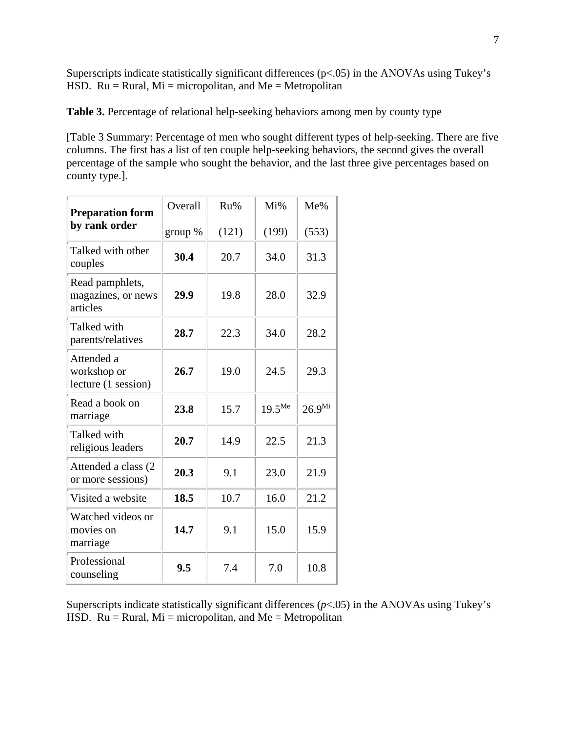Superscripts indicate statistically significant differences (p<.05) in the ANOVAs using Tukey's HSD.  $Ru = Rural$ ,  $Mi = micropolitan$ , and  $Me = Metropolitan$ 

**Table 3.** Percentage of relational help-seeking behaviors among men by county type

[Table 3 Summary: Percentage of men who sought different types of help-seeking. There are five columns. The first has a list of ten couple help-seeking behaviors, the second gives the overall percentage of the sample who sought the behavior, and the last three give percentages based on county type.].

| <b>Preparation form</b>                           | Overall | Ru%   | $Mi\%$      | Me%         |
|---------------------------------------------------|---------|-------|-------------|-------------|
| by rank order                                     | group % | (121) | (199)       | (553)       |
| Talked with other<br>couples                      | 30.4    | 20.7  | 34.0        | 31.3        |
| Read pamphlets,<br>magazines, or news<br>articles | 29.9    | 19.8  | 28.0        | 32.9        |
| Talked with<br>parents/relatives                  | 28.7    | 22.3  | 34.0        | 28.2        |
| Attended a<br>workshop or<br>lecture (1 session)  | 26.7    | 19.0  | 24.5        | 29.3        |
| Read a book on<br>marriage                        | 23.8    | 15.7  | $19.5^{Me}$ | $26.9^{Mi}$ |
| Talked with<br>religious leaders                  | 20.7    | 14.9  | 22.5        | 21.3        |
| Attended a class (2<br>or more sessions)          | 20.3    | 9.1   | 23.0        | 21.9        |
| Visited a website                                 | 18.5    | 10.7  | 16.0        | 21.2        |
| Watched videos or<br>movies on<br>marriage        | 14.7    | 9.1   | 15.0        | 15.9        |
| Professional<br>counseling                        | 9.5     | 7.4   | 7.0         | 10.8        |

Superscripts indicate statistically significant differences (*p*<.05) in the ANOVAs using Tukey's HSD.  $Ru = Rural$ ,  $Mi = micropolitan$ , and  $Me = Metropolitan$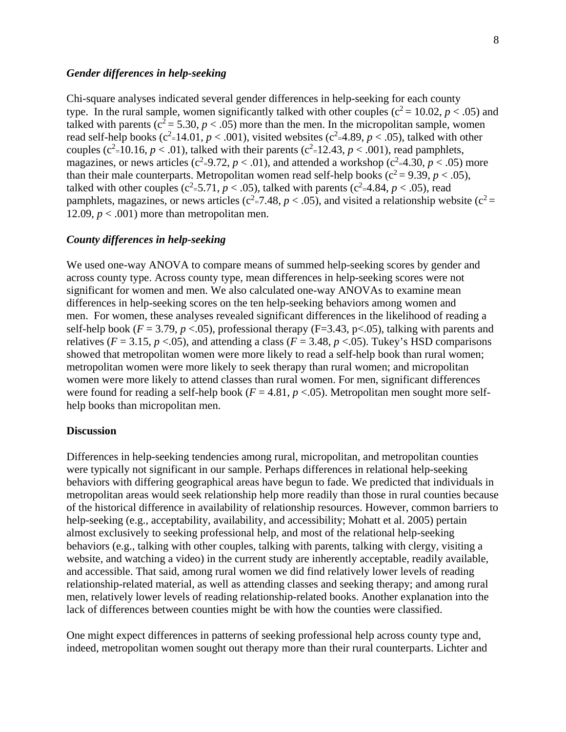### *Gender differences in help-seeking*

Chi-square analyses indicated several gender differences in help-seeking for each county type. In the rural sample, women significantly talked with other couples ( $c^2 = 10.02$ ,  $p < .05$ ) and talked with parents ( $c^2 = 5.30$ ,  $p < .05$ ) more than the men. In the micropolitan sample, women read self-help books ( $c^2 = 14.01$ ,  $p < .001$ ), visited websites ( $c^2 = 4.89$ ,  $p < .05$ ), talked with other couples ( $c^2$ =10.16,  $p < .01$ ), talked with their parents ( $c^2$ =12.43,  $p < .001$ ), read pamphlets, magazines, or news articles ( $c^2 = 9.72$ ,  $p < .01$ ), and attended a workshop ( $c^2 = 4.30$ ,  $p < .05$ ) more than their male counterparts. Metropolitan women read self-help books ( $c^2 = 9.39$ ,  $p < .05$ ), talked with other couples ( $c^2$ =5.71,  $p$  < .05), talked with parents ( $c^2$ =4.84,  $p$  < .05), read pamphlets, magazines, or news articles ( $c^2 = 7.48$ ,  $p < .05$ ), and visited a relationship website ( $c^2 =$ 12.09,  $p < .001$ ) more than metropolitan men.

### *County differences in help-seeking*

We used one-way ANOVA to compare means of summed help-seeking scores by gender and across county type. Across county type, mean differences in help-seeking scores were not significant for women and men. We also calculated one-way ANOVAs to examine mean differences in help-seeking scores on the ten help-seeking behaviors among women and men. For women, these analyses revealed significant differences in the likelihood of reading a self-help book ( $F = 3.79$ ,  $p < .05$ ), professional therapy ( $F = 3.43$ ,  $p < .05$ ), talking with parents and relatives ( $F = 3.15$ ,  $p < .05$ ), and attending a class ( $F = 3.48$ ,  $p < .05$ ). Tukey's HSD comparisons showed that metropolitan women were more likely to read a self-help book than rural women; metropolitan women were more likely to seek therapy than rural women; and micropolitan women were more likely to attend classes than rural women. For men, significant differences were found for reading a self-help book ( $F = 4.81$ ,  $p < .05$ ). Metropolitan men sought more selfhelp books than micropolitan men.

#### **Discussion**

Differences in help-seeking tendencies among rural, micropolitan, and metropolitan counties were typically not significant in our sample. Perhaps differences in relational help-seeking behaviors with differing geographical areas have begun to fade. We predicted that individuals in metropolitan areas would seek relationship help more readily than those in rural counties because of the historical difference in availability of relationship resources. However, common barriers to help-seeking (e.g., acceptability, availability, and accessibility; Mohatt et al. 2005) pertain almost exclusively to seeking professional help, and most of the relational help-seeking behaviors (e.g., talking with other couples, talking with parents, talking with clergy, visiting a website, and watching a video) in the current study are inherently acceptable, readily available, and accessible. That said, among rural women we did find relatively lower levels of reading relationship-related material, as well as attending classes and seeking therapy; and among rural men, relatively lower levels of reading relationship-related books. Another explanation into the lack of differences between counties might be with how the counties were classified.

One might expect differences in patterns of seeking professional help across county type and, indeed, metropolitan women sought out therapy more than their rural counterparts. Lichter and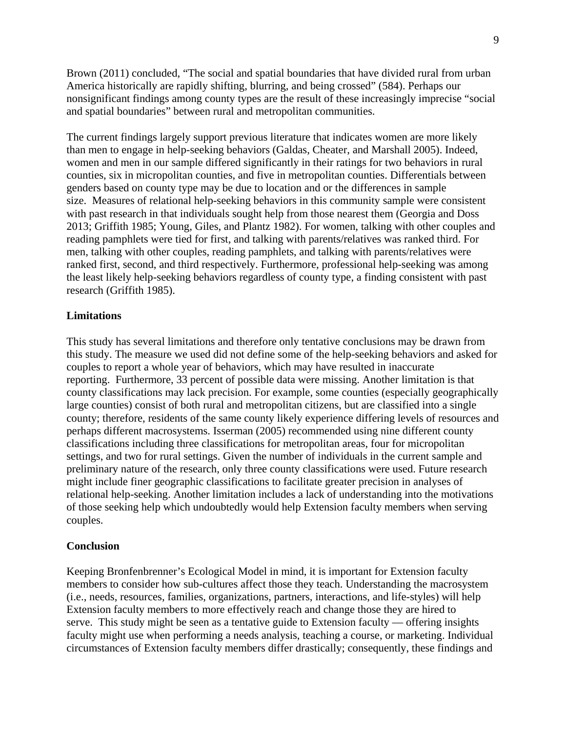Brown (2011) concluded, "The social and spatial boundaries that have divided rural from urban America historically are rapidly shifting, blurring, and being crossed" (584). Perhaps our nonsignificant findings among county types are the result of these increasingly imprecise "social and spatial boundaries" between rural and metropolitan communities.

The current findings largely support previous literature that indicates women are more likely than men to engage in help-seeking behaviors (Galdas, Cheater, and Marshall 2005). Indeed, women and men in our sample differed significantly in their ratings for two behaviors in rural counties, six in micropolitan counties, and five in metropolitan counties. Differentials between genders based on county type may be due to location and or the differences in sample size. Measures of relational help-seeking behaviors in this community sample were consistent with past research in that individuals sought help from those nearest them (Georgia and Doss 2013; Griffith 1985; Young, Giles, and Plantz 1982). For women, talking with other couples and reading pamphlets were tied for first, and talking with parents/relatives was ranked third. For men, talking with other couples, reading pamphlets, and talking with parents/relatives were ranked first, second, and third respectively. Furthermore, professional help-seeking was among the least likely help-seeking behaviors regardless of county type, a finding consistent with past research (Griffith 1985).

#### **Limitations**

This study has several limitations and therefore only tentative conclusions may be drawn from this study. The measure we used did not define some of the help-seeking behaviors and asked for couples to report a whole year of behaviors, which may have resulted in inaccurate reporting. Furthermore, 33 percent of possible data were missing. Another limitation is that county classifications may lack precision. For example, some counties (especially geographically large counties) consist of both rural and metropolitan citizens, but are classified into a single county; therefore, residents of the same county likely experience differing levels of resources and perhaps different macrosystems. Isserman (2005) recommended using nine different county classifications including three classifications for metropolitan areas, four for micropolitan settings, and two for rural settings. Given the number of individuals in the current sample and preliminary nature of the research, only three county classifications were used. Future research might include finer geographic classifications to facilitate greater precision in analyses of relational help-seeking. Another limitation includes a lack of understanding into the motivations of those seeking help which undoubtedly would help Extension faculty members when serving couples.

#### **Conclusion**

Keeping Bronfenbrenner's Ecological Model in mind, it is important for Extension faculty members to consider how sub-cultures affect those they teach. Understanding the macrosystem (i.e., needs, resources, families, organizations, partners, interactions, and life-styles) will help Extension faculty members to more effectively reach and change those they are hired to serve. This study might be seen as a tentative guide to Extension faculty — offering insights faculty might use when performing a needs analysis, teaching a course, or marketing. Individual circumstances of Extension faculty members differ drastically; consequently, these findings and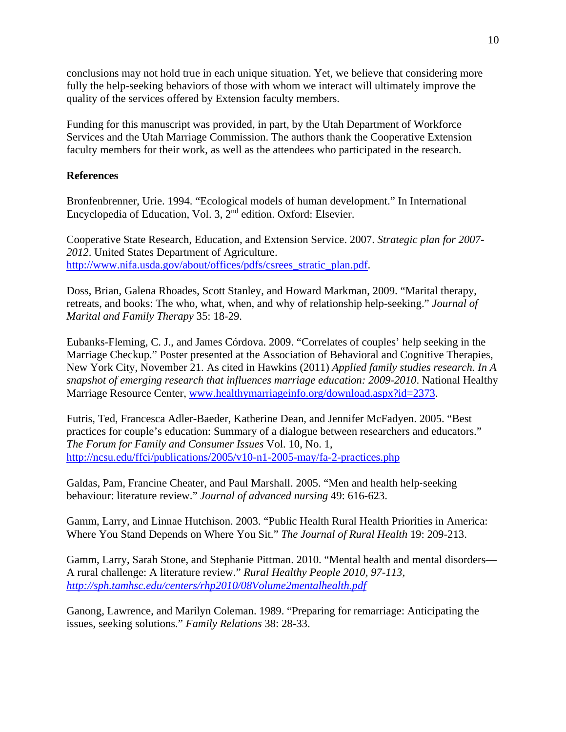conclusions may not hold true in each unique situation. Yet, we believe that considering more fully the help-seeking behaviors of those with whom we interact will ultimately improve the quality of the services offered by Extension faculty members.

Funding for this manuscript was provided, in part, by the Utah Department of Workforce Services and the Utah Marriage Commission. The authors thank the Cooperative Extension faculty members for their work, as well as the attendees who participated in the research.

# **References**

Bronfenbrenner, Urie. 1994. "Ecological models of human development." In International Encyclopedia of Education, Vol. 3, 2nd edition. Oxford: Elsevier.

Cooperative State Research, Education, and Extension Service. 2007. *Strategic plan for 2007- 2012*. United States Department of Agriculture. http://www.nifa.usda.gov/about/offices/pdfs/csrees\_stratic\_plan.pdf.

Doss, Brian, Galena Rhoades, Scott Stanley, and Howard Markman, 2009. "Marital therapy, retreats, and books: The who, what, when, and why of relationship help-seeking." *Journal of Marital and Family Therapy* 35: 18-29.

Eubanks-Fleming, C. J., and James Córdova. 2009. "Correlates of couples' help seeking in the Marriage Checkup." Poster presented at the Association of Behavioral and Cognitive Therapies, New York City, November 21. As cited in Hawkins (2011) *Applied family studies research. In A snapshot of emerging research that influences marriage education: 2009-2010*. National Healthy Marriage Resource Center, www.healthymarriageinfo.org/download.aspx?id=2373.

Futris, Ted, Francesca Adler-Baeder, Katherine Dean, and Jennifer McFadyen. 2005. "Best practices for couple's education: Summary of a dialogue between researchers and educators." *The Forum for Family and Consumer Issues* Vol. 10, No. 1, http://ncsu.edu/ffci/publications/2005/v10-n1-2005-may/fa-2-practices.php

Galdas, Pam, Francine Cheater, and Paul Marshall. 2005. "Men and health help‐seeking behaviour: literature review." *Journal of advanced nursing* 49: 616-623.

Gamm, Larry, and Linnae Hutchison. 2003. "Public Health Rural Health Priorities in America: Where You Stand Depends on Where You Sit." *The Journal of Rural Health* 19: 209-213.

Gamm, Larry, Sarah Stone, and Stephanie Pittman. 2010. "Mental health and mental disorders— A rural challenge: A literature review." *Rural Healthy People 2010, 97-113, http://sph.tamhsc.edu/centers/rhp2010/08Volume2mentalhealth.pdf*

Ganong, Lawrence, and Marilyn Coleman. 1989. "Preparing for remarriage: Anticipating the issues, seeking solutions." *Family Relations* 38: 28-33.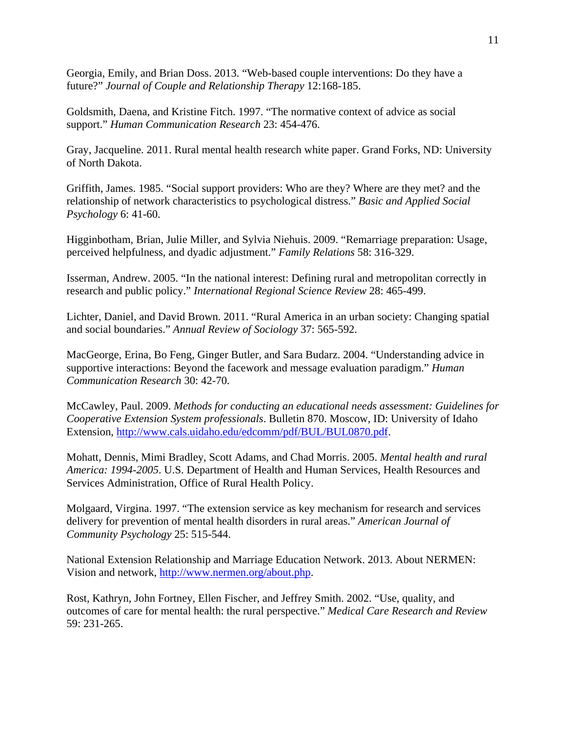Georgia, Emily, and Brian Doss. 2013. "Web-based couple interventions: Do they have a future?" *Journal of Couple and Relationship Therapy* 12:168-185.

Goldsmith, Daena, and Kristine Fitch. 1997. "The normative context of advice as social support." *Human Communication Research* 23: 454-476.

Gray, Jacqueline. 2011. Rural mental health research white paper. Grand Forks, ND: University of North Dakota.

Griffith, James. 1985. "Social support providers: Who are they? Where are they met? and the relationship of network characteristics to psychological distress." *Basic and Applied Social Psychology* 6: 41-60.

Higginbotham, Brian, Julie Miller, and Sylvia Niehuis. 2009. "Remarriage preparation: Usage, perceived helpfulness, and dyadic adjustment." *Family Relations* 58: 316-329.

Isserman, Andrew. 2005. "In the national interest: Defining rural and metropolitan correctly in research and public policy." *International Regional Science Review* 28: 465-499.

Lichter, Daniel, and David Brown. 2011. "Rural America in an urban society: Changing spatial and social boundaries." *Annual Review of Sociology* 37: 565-592.

MacGeorge, Erina, Bo Feng, Ginger Butler, and Sara Budarz. 2004. "Understanding advice in supportive interactions: Beyond the facework and message evaluation paradigm." *Human Communication Research* 30: 42-70.

McCawley, Paul. 2009. *Methods for conducting an educational needs assessment: Guidelines for Cooperative Extension System professionals*. Bulletin 870. Moscow, ID: University of Idaho Extension, http://www.cals.uidaho.edu/edcomm/pdf/BUL/BUL0870.pdf.

Mohatt, Dennis, Mimi Bradley, Scott Adams, and Chad Morris. 2005. *Mental health and rural America: 1994-2005*. U.S. Department of Health and Human Services, Health Resources and Services Administration, Office of Rural Health Policy.

Molgaard, Virgina. 1997. "The extension service as key mechanism for research and services delivery for prevention of mental health disorders in rural areas." *American Journal of Community Psychology* 25: 515-544.

National Extension Relationship and Marriage Education Network. 2013. About NERMEN: Vision and network, http://www.nermen.org/about.php.

Rost, Kathryn, John Fortney, Ellen Fischer, and Jeffrey Smith. 2002. "Use, quality, and outcomes of care for mental health: the rural perspective." *Medical Care Research and Review* 59: 231-265.